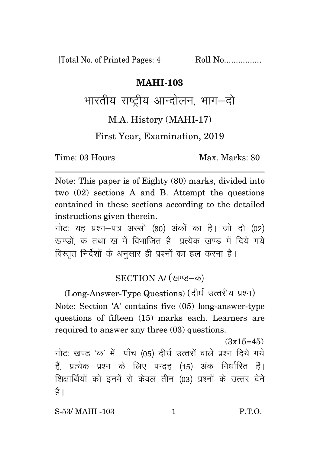[Total No. of Printed Pages: 4 Roll No.................

## **MAHI-103**

भारतीय राष्टीय आन्दोलन, भाग—दो

## M.A. History (MAHI-17)

## First Year, Examination, 2019

Time: 03 Hours Max. Marks: 80

Note: This paper is of Eighty (80) marks, divided into two (02) sections A and B. Attempt the questions contained in these sections according to the detailed instructions given therein.

नोट: यह प्रश्न-पत्र अस्सी (80) अंकों का है। जो दो (02) खण्डों, क तथा ख में विभाजित है। प्रत्येक खण्ड में दिये गये विस्तृत निर्देशों के अनुसार ही प्रश्नों का हल करना है।

## SECTION A/ (खण्ड-क)

(Long-Answer-Type Questions) (दीर्घ उत्तरीय प्रश्न) Note: Section 'A' contains five (05) long-answer-type questions of fifteen (15) marks each. Learners are required to answer any three (03) questions.

 $(3x15=45)$ 

नोटः खण्ड 'क' में पाँच (05) दीर्घ उत्तरों वाले प्रश्न दिये गये हैं, प्रत्येक प्रश्न के लिए पन्द्रह (15) अंक निर्धारित हैं। शिक्षार्थियों को इनमें से केवल तीन (03) प्रश्नों के उत्तर देने हैं ।

S-53/ MAHI -103 1 P.T.O.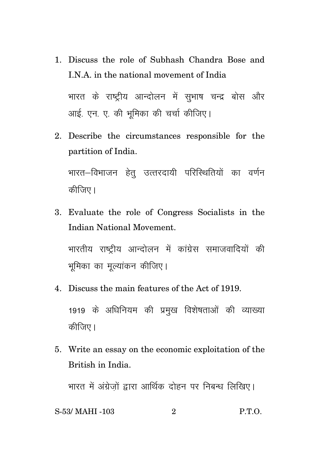1. Discuss the role of Subhash Chandra Bose and I.N.A. in the national movement of India

भारत के राष्ट्रीय आन्दोलन में सुभाष चन्द्र बोस और आई. एन. ए. की भमिका की चर्चा कीजिए।

2. Describe the circumstances responsible for the partition of India.

भारत–विभाजन हेत उत्तरदायी परिस्थितियों का वर्णन कीजिए।

3. Evaluate the role of Congress Socialists in the Indian National Movement.

भारतीय राष्ट्रीय आन्दोलन में कांग्रेस समाजवादियों की भूमिका का मुल्यांकन कीजिए।

- 4. Discuss the main features of the Act of 1919. 1919 के अधिनियम की प्रमुख विशेषताओं की व्याख्या कीजिए।
- 5. Write an essay on the economic exploitation of the British in India.

भारत में अंग्रेजों द्वारा आर्थिक दोहन पर निबन्ध लिखिए।

S-53/MAHI -103 
$$
2
$$
 P.T.O.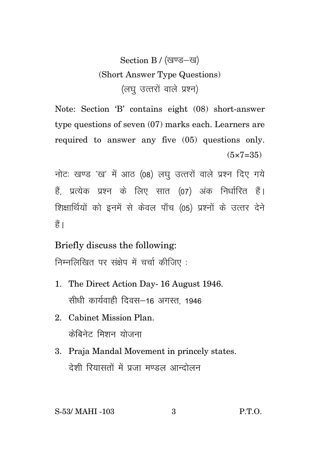Section B / (खण्ड-ख) (Short Answer Type Questions) (लघ उत्तरों वाले प्रश्न)

Note: Section 'B' contains eight (08) short-answer type questions of seven (07) marks each. Learners are required to answer any five (05) questions only.  $(5 \times 7 = 35)$ 

नोटः खण्ड 'ख' में आठ (08) लघु उत्तरों वाले प्रश्न दिए गये हैं प्रत्येक प्रश्न के लिए सात (07) अंक निर्धारित हैं। शिक्षार्थियों को इनमें से केवल पाँच (05) प्रश्नों के उत्तर देने हैं।

Briefly discuss the following:

निम्नलिखित पर संक्षेप में चर्चा कीजिए:

- 1. The Direct Action Day- 16 August 1946. सीधी कार्यवाही दिवस-16 अगस्त, 1946
- 2. Cabinet Mission Plan. क्रेबिनेट मिशन योजना
- 3. Praja Mandal Movement in princely states. देशी रियासतों में पूजा मण्डल आन्दोलन